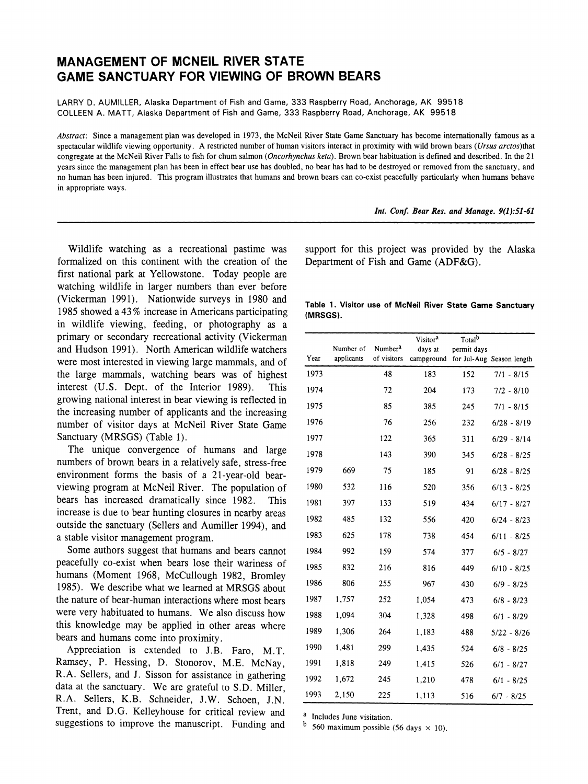# **MANAGEMENT OF MCNEIL RIVER STATE GAME SANCTUARY FOR VIEWING OF BROWN BEARS**

**LARRY D. AUMILLER, Alaska Department of Fish and Game, 333 Raspberry Road, Anchorage, AK 99518 COLLEEN A. MATT, Alaska Department of Fish and Game, 333 Raspberry Road, Anchorage, AK 99518** 

**Abstract: Since a management plan was developed in 1973, the McNeil River State Game Sanctuary has become internationally famous as a spectacular wildlife viewing opportunity. A restricted number of human visitors interact in proximity with wild brown bears (Ursus arctos)that congregate at the McNeil River Falls to fish for chum salmon (Oncorhynchus keta). Brown bear habituation is defined and described. In the 21 years since the management plan has been in effect bear use has doubled, no bear has had to be destroyed or removed from the sanctuary, and no human has been injured. This program illustrates that humans and brown bears can co-exist peacefully particularly when humans behave in appropriate ways.** 

**Int. Conf. Bear Res. and Manage. 9(1):51-61** 

**Wildlife watching as a recreational pastime was formalized on this continent with the creation of the first national park at Yellowstone. Today people are watching wildlife in larger numbers than ever before (Vickerman 1991). Nationwide surveys in 1980 and 1985 showed a 43 % increase in Americans participating in wildlife viewing, feeding, or photography as a primary or secondary recreational activity (Vickerman and Hudson 1991). North American wildlife watchers were most interested in viewing large mammals, and of the large mammals, watching bears was of highest**  interest (U.S. Dept. of the Interior 1989). **growing national interest in bear viewing is reflected in the increasing number of applicants and the increasing number of visitor days at McNeil River State Game Sanctuary (MRSGS) (Table 1).** 

**The unique convergence of humans and large numbers of brown bears in a relatively safe, stress-free environment forms the basis of a 21-year-old bearviewing program at McNeil River. The population of bears has increased dramatically since 1982. This increase is due to bear hunting closures in nearby areas outside the sanctuary (Sellers and Aumiller 1994), and a stable visitor management program.** 

**Some authors suggest that humans and bears cannot peacefully co-exist when bears lose their wariness of humans (Moment 1968, McCullough 1982, Bromley 1985). We describe what we learned at MRSGS about the nature of bear-human interactions where most bears were very habituated to humans. We also discuss how this knowledge may be applied in other areas where bears and humans come into proximity.** 

**Appreciation is extended to J.B. Faro, M.T. Ramsey, P. Hessing, D. Stonorov, M.E. McNay, R.A. Sellers, and J. Sisson for assistance in gathering data at the sanctuary. We are grateful to S.D. Miller, R.A. Sellers, K.B. Schneider, J.W. Schoen, J.N. Trent, and D.G. Kelleyhouse for critical review and suggestions to improve the manuscript. Funding and** 

**support for this project was provided by the Alaska Department of Fish and Game (ADF&G).** 

|          |  |  |  |  | Table 1. Visitor use of McNeil River State Game Sanctuary |
|----------|--|--|--|--|-----------------------------------------------------------|
| (MRSGS). |  |  |  |  |                                                           |

|      | Number of  | Number <sup>2</sup> | Visitor <sup>a</sup><br>days at | Total <sup>b</sup><br>permit days |                           |
|------|------------|---------------------|---------------------------------|-----------------------------------|---------------------------|
| Year | applicants | of visitors         | campground                      |                                   | for Jul-Aug Season length |
| 1973 |            | 48                  | 183                             | 152                               | $7/1 - 8/15$              |
| 1974 |            | 72                  | 204                             | 173                               | $7/2 - 8/10$              |
| 1975 |            | 85                  | 385                             | 245                               | $7/1 - 8/15$              |
| 1976 |            | 76                  | 256                             | 232                               | $6/28 - 8/19$             |
| 1977 |            | 122                 | 365                             | 311                               | $6/29 - 8/14$             |
| 1978 |            | 143                 | 390                             | 345                               | $6/28 - 8/25$             |
| 1979 | 669        | 75                  | 185                             | 91                                | $6/28 - 8/25$             |
| 1980 | 532        | 116                 | 520                             | 356                               | $6/13 - 8/25$             |
| 1981 | 397        | 133                 | 519                             | 434                               | $6/17 - 8/27$             |
| 1982 | 485        | 132                 | 556                             | 420                               | $6/24 - 8/23$             |
| 1983 | 625        | 178                 | 738                             | 454                               | $6/11 - 8/25$             |
| 1984 | 992        | 159                 | 574                             | 377                               | $6/5 - 8/27$              |
| 1985 | 832        | 216                 | 816                             | 449                               | $6/10 - 8/25$             |
| 1986 | 806        | 255                 | 967                             | 430                               | $6/9 - 8/25$              |
| 1987 | 1,757      | 252                 | 1,054                           | 473                               | $6/8 - 8/23$              |
| 1988 | 1,094      | 304                 | 1,328                           | 498                               | $6/1 - 8/29$              |
| 1989 | 1.306      | 264                 | 1,183                           | 488                               | $5/22 - 8/26$             |
| 1990 | 1,481      | 299                 | 1,435                           | 524                               | $6/8 - 8/25$              |
| 1991 | 1,818      | 249                 | 1,415                           | 526                               | $6/1 - 8/27$              |
| 1992 | 1,672      | 245                 | 1,210                           | 478                               | $6/1 - 8/25$              |
| 1993 | 2,150      | 225                 | 1,113                           | 516                               | $6/7 - 8/25$              |

**a Includes June visitation.** 

 $<sup>b</sup>$  560 maximum possible (56 days  $\times$  10).</sup>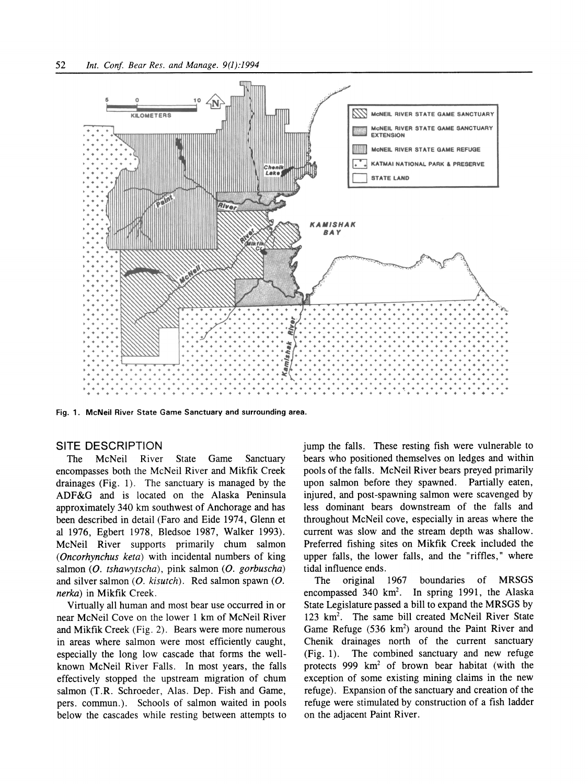

**Fig. 1. McNeil River State Game Sanctuary and surrounding area.** 

#### **SITE DESCRIPTION**

**The McNeil River State Game Sanctuary encompasses both the McNeil River and Mikfik Creek drainages (Fig. 1). The sanctuary is managed by the ADF&G and is located on the Alaska Peninsula approximately 340 km southwest of Anchorage and has been described in detail (Faro and Eide 1974, Glenn et al 1976, Egbert 1978, Bledsoe 1987, Walker 1993). McNeil River supports primarily chum salmon (Oncorhynchus keta) with incidental numbers of king**  salmon (O. tshawytscha), pink salmon (O. gorbuscha) and silver salmon (O. kisutch). Red salmon spawn (O. **nerka) in Mikfik Creek.** 

**Virtually all human and most bear use occurred in or near McNeil Cove on the lower 1 km of McNeil River and Mikfik Creek (Fig. 2). Bears were more numerous in areas where salmon were most efficiently caught, especially the long low cascade that forms the wellknown McNeil River Falls. In most years, the falls effectively stopped the upstream migration of chum salmon (T.R. Schroeder, Alas. Dep. Fish and Game, pers. commun.). Schools of salmon waited in pools below the cascades while resting between attempts to** 

**jump the falls. These resting fish were vulnerable to bears who positioned themselves on ledges and within pools of the falls. McNeil River bears preyed primarily upon salmon before they spawned. Partially eaten, injured, and post-spawning salmon were scavenged by less dominant bears downstream of the falls and throughout McNeil cove, especially in areas where the current was slow and the stream depth was shallow. Preferred fishing sites on Mikfik Creek included the upper falls, the lower falls, and the "riffles," where tidal influence ends.** 

**The original 1967 boundaries of MRSGS encompassed 340 km2. In spring 1991, the Alaska State Legislature passed a bill to expand the MRSGS by 123 km2. The same bill created McNeil River State**  Game Refuge (536 km<sup>2</sup>) around the Paint River and **Chenik drainages north of the current sanctuary (Fig. 1). The combined sanctuary and new refuge protects 999 km2 of brown bear habitat (with the exception of some existing mining claims in the new refuge). Expansion of the sanctuary and creation of the refuge were stimulated by construction of a fish ladder on the adjacent Paint River.**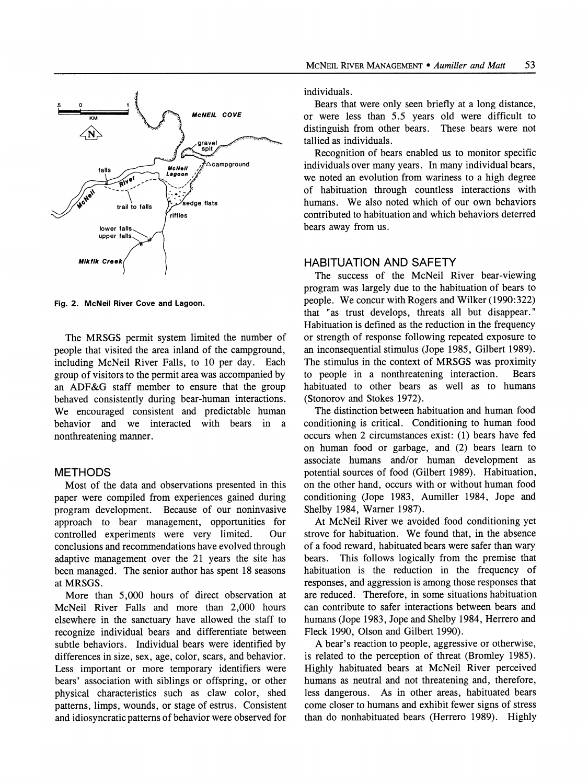

**Fig. 2. McNeil River Cove and Lagoon.** 

**The MRSGS permit system limited the number of people that visited the area inland of the campground, including McNeil River Falls, to 10 per day. Each group of visitors to the permit area was accompanied by an ADF&G staff member to ensure that the group behaved consistently during bear-human interactions. We encouraged consistent and predictable human behavior and we interacted with bears in a nonthreatening manner.** 

# **METHODS**

**Most of the data and observations presented in this paper were compiled from experiences gained during program development. Because of our noninvasive approach to bear management, opportunities for**  controlled experiments were very limited. **conclusions and recommendations have evolved through adaptive management over the 21 years the site has been managed. The senior author has spent 18 seasons at MRSGS.** 

**More than 5,000 hours of direct observation at McNeil River Falls and more than 2,000 hours elsewhere in the sanctuary have allowed the staff to recognize individual bears and differentiate between subtle behaviors. Individual bears were identified by differences in size, sex, age, color, scars, and behavior. Less important or more temporary identifiers were bears' association with siblings or offspring, or other physical characteristics such as claw color, shed patterns, limps, wounds, or stage of estrus. Consistent and idiosyncratic patterns of behavior were observed for** 

**individuals.** 

**Bears that were only seen briefly at a long distance, or were less than 5.5 years old were difficult to distinguish from other bears. These bears were not tallied as individuals.** 

**Recognition of bears enabled us to monitor specific individuals over many years. In many individual bears, we noted an evolution from wariness to a high degree of habituation through countless interactions with humans. We also noted which of our own behaviors contributed to habituation and which behaviors deterred bears away from us.** 

### **HABITUATION AND SAFETY**

**The success of the McNeil River bear-viewing program was largely due to the habituation of bears to people. We concur with Rogers and Wilker (1990:322) that "as trust develops, threats all but disappear." Habituation is defined as the reduction in the frequency or strength of response following repeated exposure to an inconsequential stimulus (Jope 1985, Gilbert 1989). The stimulus in the context of MRSGS was proximity**  to people in a nonthreatening interaction. **habituated to other bears as well as to humans (Stonorov and Stokes 1972).** 

**The distinction between habituation and human food conditioning is critical. Conditioning to human food occurs when 2 circumstances exist: (1) bears have fed on human food or garbage, and (2) bears learn to associate humans and/or human development as potential sources of food (Gilbert 1989). Habituation, on the other hand, occurs with or without human food conditioning (Jope 1983, Aumiller 1984, Jope and Shelby 1984, Warner 1987).** 

**At McNeil River we avoided food conditioning yet strove for habituation. We found that, in the absence of a food reward, habituated bears were safer than wary bears. This follows logically from the premise that habituation is the reduction in the frequency of responses, and aggression is among those responses that are reduced. Therefore, in some situations habituation can contribute to safer interactions between bears and humans (Jope 1983, Jope and Shelby 1984, Herrero and Fleck 1990, Olson and Gilbert 1990).** 

**A bear's reaction to people, aggressive or otherwise, is related to the perception of threat (Bromley 1985). Highly habituated bears at McNeil River perceived humans as neutral and not threatening and, therefore, less dangerous. As in other areas, habituated bears come closer to humans and exhibit fewer signs of stress than do nonhabituated bears (Herrero 1989). Highly**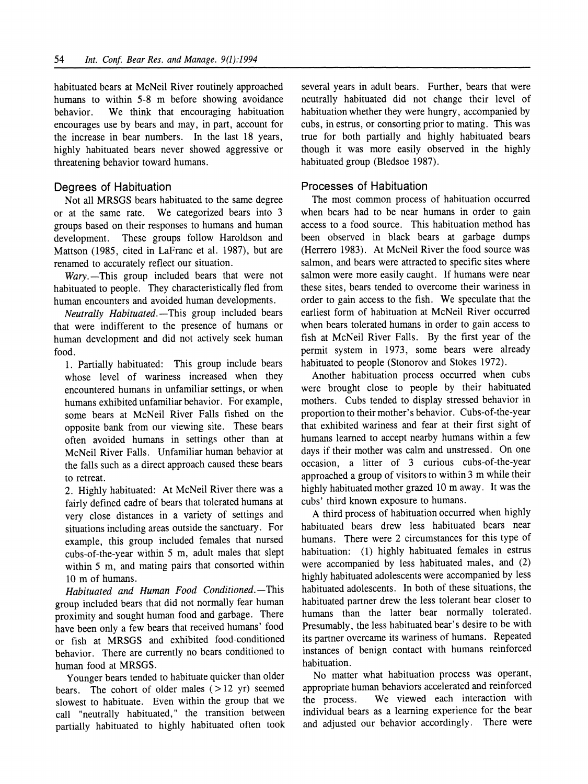**habituated bears at McNeil River routinely approached**  humans to within 5-8 m before showing avoidance<br>behavior. We think that encouraging habituation We think that encouraging habituation **encourages use by bears and may, in part, account for the increase in bear numbers. In the last 18 years, highly habituated bears never showed aggressive or threatening behavior toward humans.** 

## **Degrees of Habituation**

**Not all MRSGS bears habituated to the same degree or at the same rate. We categorized bears into 3 groups based on their responses to humans and human**  These groups follow Haroldson and **Mattson (1985, cited in LaFranc et al. 1987), but are renamed to accurately reflect our situation.** 

Wary.-This group included bears that were not **habituated to people. They characteristically fled from human encounters and avoided human developments.** 

**Neutrally Habituated.--This group included bears that were indifferent to the presence of humans or human development and did not actively seek human food.** 

**1. Partially habituated: This group include bears whose level of wariness increased when they encountered humans in unfamiliar settings, or when humans exhibited unfamiliar behavior. For example, some bears at McNeil River Falls fished on the opposite bank from our viewing site. These bears often avoided humans in settings other than at McNeil River Falls. Unfamiliar human behavior at the falls such as a direct approach caused these bears to retreat.** 

**2. Highly habituated: At McNeil River there was a fairly defined cadre of bears that tolerated humans at very close distances in a variety of settings and situations including areas outside the sanctuary. For example, this group included females that nursed cubs-of-the-year within 5 m, adult males that slept within 5 m, and mating pairs that consorted within 10 m of humans.** 

Habituated and Human Food Conditioned.-This **group included bears that did not normally fear human proximity and sought human food and garbage. There have been only a few bears that received humans' food or fish at MRSGS and exhibited food-conditioned behavior. There are currently no bears conditioned to human food at MRSGS.** 

**Younger bears tended to habituate quicker than older bears. The cohort of older males (> 12 yr) seemed slowest to habituate. Even within the group that we call "neutrally habituated," the transition between partially habituated to highly habituated often took**  **several years in adult bears. Further, bears that were neutrally habituated did not change their level of habituation whether they were hungry, accompanied by cubs, in estrus, or consorting prior to mating. This was true for both partially and highly habituated bears though it was more easily observed in the highly habituated group (Bledsoe 1987).** 

### **Processes of Habituation**

**The most common process of habituation occurred when bears had to be near humans in order to gain access to a food source. This habituation method has been observed in black bears at garbage dumps (Herrero 1983). At McNeil River the food source was salmon, and bears were attracted to specific sites where salmon were more easily caught. If humans were near these sites, bears tended to overcome their wariness in order to gain access to the fish. We speculate that the earliest form of habituation at McNeil River occurred when bears tolerated humans in order to gain access to fish at McNeil River Falls. By the first year of the permit system in 1973, some bears were already habituated to people (Stonorov and Stokes 1972).** 

**Another habituation process occurred when cubs were brought close to people by their habituated mothers. Cubs tended to display stressed behavior in proportion to their mother's behavior. Cubs-of-the-year that exhibited wariness and fear at their first sight of humans learned to accept nearby humans within a few days if their mother was calm and unstressed. On one occasion, a litter of 3 curious cubs-of-the-year approached a group of visitors to within 3 m while their highly habituated mother grazed 10 m away. It was the cubs' third known exposure to humans.** 

**A third process of habituation occurred when highly habituated bears drew less habituated bears near humans. There were 2 circumstances for this type of habituation: (1) highly habituated females in estrus were accompanied by less habituated males, and (2) highly habituated adolescents were accompanied by less habituated adolescents. In both of these situations, the habituated partner drew the less tolerant bear closer to humans than the latter bear normally tolerated. Presumably, the less habituated bear's desire to be with its partner overcame its wariness of humans. Repeated instances of benign contact with humans reinforced habituation.** 

**No matter what habituation process was operant, appropriate human behaviors accelerated and reinforced**  We viewed each interaction with **individual bears as a learning experience for the bear and adjusted our behavior accordingly. There were**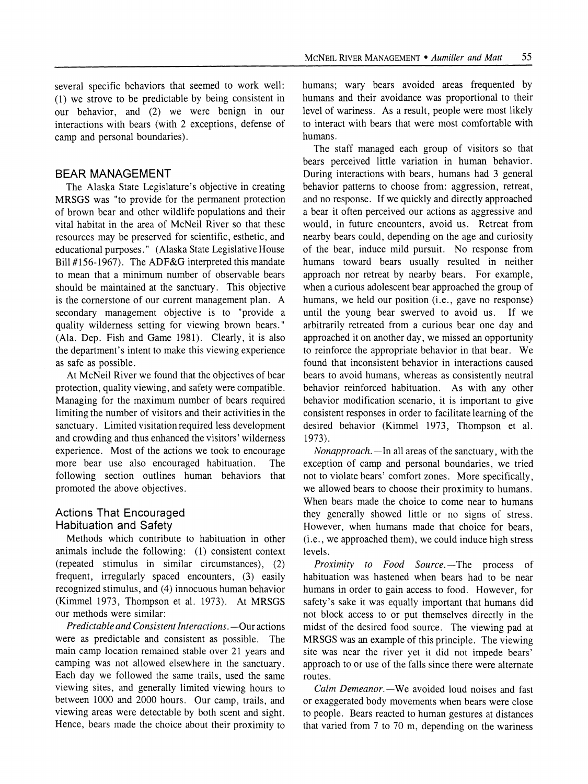**several specific behaviors that seemed to work well: (1) we strove to be predictable by being consistent in our behavior, and (2) we were benign in our interactions with bears (with 2 exceptions, defense of camp and personal boundaries).** 

### **BEAR MANAGEMENT**

**The Alaska State Legislature's objective in creating MRSGS was "to provide for the permanent protection of brown bear and other wildlife populations and their vital habitat in the area of McNeil River so that these resources may be preserved for scientific, esthetic, and educational purposes." (Alaska State Legislative House Bill #156-1967). The ADF&G interpreted this mandate to mean that a minimum number of observable bears should be maintained at the sanctuary. This objective is the cornerstone of our current management plan. A secondary management objective is to "provide a quality wilderness setting for viewing brown bears." (Ala. Dep. Fish and Game 1981). Clearly, it is also the department's intent to make this viewing experience as safe as possible.** 

**At McNeil River we found that the objectives of bear protection, quality viewing, and safety were compatible. Managing for the maximum number of bears required limiting the number of visitors and their activities in the sanctuary. Limited visitation required less development and crowding and thus enhanced the visitors' wilderness experience. Most of the actions we took to encourage**  more bear use also encouraged habituation. **following section outlines human behaviors that promoted the above objectives.** 

# **Actions That Encouraged Habituation and Safety**

**Methods which contribute to habituation in other animals include the following: (1) consistent context (repeated stimulus in similar circumstances), (2) frequent, irregularly spaced encounters, (3) easily recognized stimulus, and (4) innocuous human behavior (Kimmel 1973, Thompson et al. 1973). At MRSGS our methods were similar:** 

**Predictable and Consistent Interactions. - Our actions were as predictable and consistent as possible. The main camp location remained stable over 21 years and camping was not allowed elsewhere in the sanctuary. Each day we followed the same trails, used the same viewing sites, and generally limited viewing hours to between 1000 and 2000 hours. Our camp, trails, and viewing areas were detectable by both scent and sight. Hence, bears made the choice about their proximity to** 

**humans; wary bears avoided areas frequented by humans and their avoidance was proportional to their level of wariness. As a result, people were most likely to interact with bears that were most comfortable with humans.** 

**The staff managed each group of visitors so that bears perceived little variation in human behavior. During interactions with bears, humans had 3 general behavior patterns to choose from: aggression, retreat, and no response. If we quickly and directly approached a bear it often perceived our actions as aggressive and would, in future encounters, avoid us. Retreat from nearby bears could, depending on the age and curiosity of the bear, induce mild pursuit. No response from humans toward bears usually resulted in neither approach nor retreat by nearby bears. For example, when a curious adolescent bear approached the group of humans, we held our position (i.e., gave no response) until the young bear swerved to avoid us. If we arbitrarily retreated from a curious bear one day and approached it on another day, we missed an opportunity to reinforce the appropriate behavior in that bear. We found that inconsistent behavior in interactions caused bears to avoid humans, whereas as consistently neutral behavior reinforced habituation. As with any other behavior modification scenario, it is important to give consistent responses in order to facilitate learning of the desired behavior (Kimmel 1973, Thompson et al. 1973).** 

**Nonapproach. -In all areas of the sanctuary, with the exception of camp and personal boundaries, we tried not to violate bears' comfort zones. More specifically, we allowed bears to choose their proximity to humans. When bears made the choice to come near to humans they generally showed little or no signs of stress. However, when humans made that choice for bears, (i.e., we approached them), we could induce high stress levels.** 

Proximity to Food Source.-The process of **habituation was hastened when bears had to be near humans in order to gain access to food. However, for safety's sake it was equally important that humans did not block access to or put themselves directly in the midst of the desired food source. The viewing pad at MRSGS was an example of this principle. The viewing site was near the river yet it did not impede bears' approach to or use of the falls since there were alternate routes.** 

Calm Demeanor.—We avoided loud noises and fast **or exaggerated body movements when bears were close to people. Bears reacted to human gestures at distances that varied from 7 to 70 m, depending on the wariness**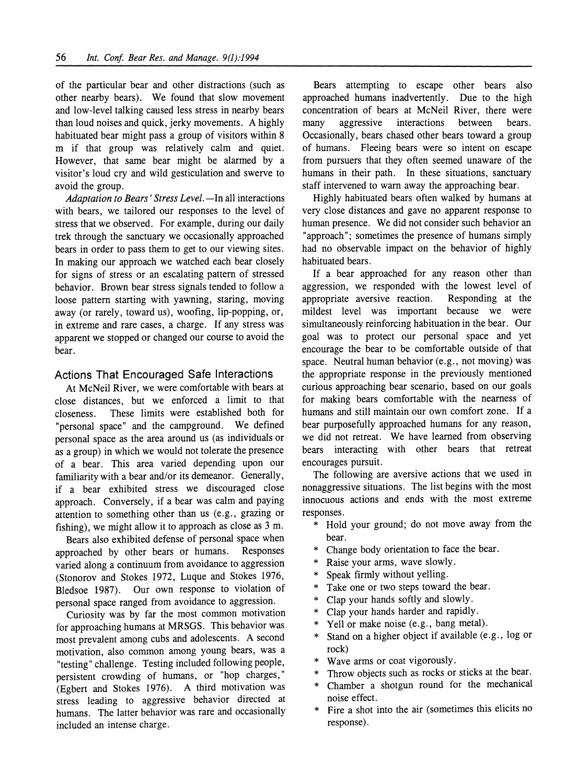**of the particular bear and other distractions (such as other nearby bears). We found that slow movement and low-level talking caused less stress in nearby bears than loud noises and quick, jerky movements. A highly habituated bear might pass a group of visitors within 8 m if that group was relatively calm and quiet. However, that same bear might be alarmed by a visitor's loud cry and wild gesticulation and swerve to avoid the group.** 

Adaptation to Bears' Stress Level. - In all interactions **with bears, we tailored our responses to the level of stress that we observed. For example, during our daily trek through the sanctuary we occasionally approached bears in order to pass them to get to our viewing sites. In making our approach we watched each bear closely for signs of stress or an escalating pattern of stressed behavior. Brown bear stress signals tended to follow a loose pattern starting with yawning, staring, moving away (or rarely, toward us), woofing, lip-popping, or, in extreme and rare cases, a charge. If any stress was apparent we stopped or changed our course to avoid the bear.** 

## **Actions That Encouraged Safe Interactions**

**At McNeil River, we were comfortable with bears at close distances, but we enforced a limit to that**  These limits were established both for **"personal space" and the campground. We defined personal space as the area around us (as individuals or as a group) in which we would not tolerate the presence of a bear. This area varied depending upon our familiarity with a bear and/or its demeanor. Generally, if a bear exhibited stress we discouraged close approach. Conversely, if a bear was calm and paying attention to something other than us (e.g., grazing or fishing), we might allow it to approach as close as 3 m.** 

**Bears also exhibited defense of personal space when**  approached by other bears or humans. **varied along a continuum from avoidance to aggression (Stonorov and Stokes 1972, Luque and Stokes 1976, Bledsoe 1987). Our own response to violation of personal space ranged from avoidance to aggression.** 

**Curiosity was by far the most common motivation for approaching humans at MRSGS. This behavior was most prevalent among cubs and adolescents. A second motivation, also common among young bears, was a "testing" challenge. Testing included following people, persistent crowding of humans, or "hop charges," (Egbert and Stokes 1976). A third motivation was stress leading to aggressive behavior directed at humans. The latter behavior was rare and occasionally included an intense charge.** 

**Bears attempting to escape other bears also approached humans inadvertently. Due to the high concentration of bears at McNeil River, there were many aggressive interactions between bears. Occasionally, bears chased other bears toward a group of humans. Fleeing bears were so intent on escape from pursuers that they often seemed unaware of the humans in their path. In these situations, sanctuary staff intervened to warn away the approaching bear.** 

**Highly habituated bears often walked by humans at very close distances and gave no apparent response to human presence. We did not consider such behavior an "approach"; sometimes the presence of humans simply had no observable impact on the behavior of highly habituated bears.** 

**If a bear approached for any reason other than aggression, we responded with the lowest level of**  appropriate aversive reaction. **mildest level was important because we were simultaneously reinforcing habituation in the bear. Our goal was to protect our personal space and yet encourage the bear to be comfortable outside of that space. Neutral human behavior (e.g., not moving) was the appropriate response in the previously mentioned curious approaching bear scenario, based on our goals for making bears comfortable with the nearness of humans and still maintain our own comfort zone. If a bear purposefully approached humans for any reason, we did not retreat. We have learned from observing bears interacting with other bears that retreat encourages pursuit.** 

**The following are aversive actions that we used in nonaggressive situations. The list begins with the most innocuous actions and ends with the most extreme responses.** 

- **\* Hold your ground; do not move away from the bear.**
- **\* Change body orientation to face the bear.**
- **\* Raise your arms, wave slowly.**
- **\* Speak firmly without yelling.**
- **\* Take one or two steps toward the bear.**
- **\* Clap your hands softly and slowly.**
- **\* Clap your hands harder and rapidly.**
- Yell or make noise (e.g., bang metal).
- **\* Stand on a higher object if available (e.g., log or rock)**
- **\* Wave arms or coat vigorously.**
- **\* Throw objects such as rocks or sticks at the bear.**
- **\* Chamber a shotgun round for the mechanical noise effect.**
- Fire a shot into the air (sometimes this elicits no **response).**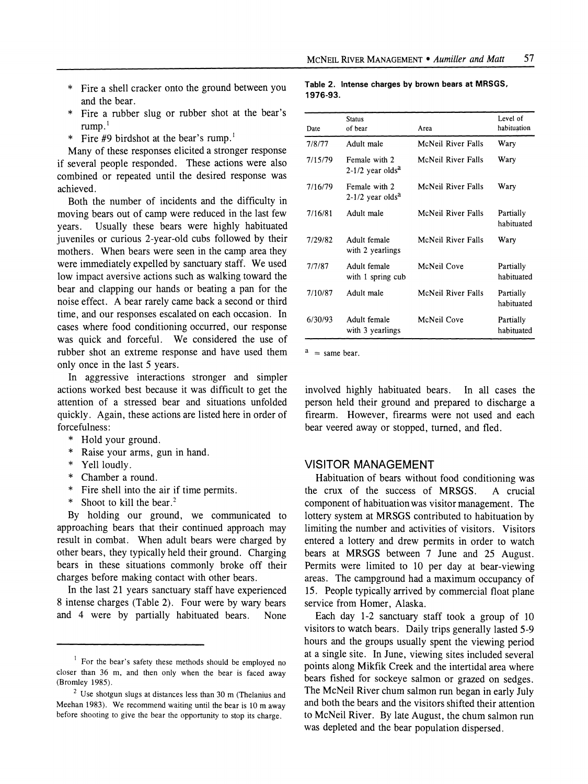- **\* Fire a shell cracker onto the ground between you and the bear.**
- Fire a rubber slug or rubber shot at the bear's **rump.1**
- **\* Fire #9 birdshot at the bear's rump.1**

**Many of these responses elicited a stronger response if several people responded. These actions were also combined or repeated until the desired response was achieved.** 

**Both the number of incidents and the difficulty in**  moving bears out of camp were reduced in the last few vears. Usually these bears were highly habituated **years. Usually these bears were highly habituated juveniles or curious 2-year-old cubs followed by their mothers. When bears were seen in the camp area they were immediately expelled by sanctuary staff. We used low impact aversive actions such as walking toward the bear and clapping our hands or beating a pan for the noise effect. A bear rarely came back a second or third time, and our responses escalated on each occasion. In cases where food conditioning occurred, our response was quick and forceful. We considered the use of rubber shot an extreme response and have used them only once in the last 5 years.** 

**In aggressive interactions stronger and simpler actions worked best because it was difficult to get the attention of a stressed bear and situations unfolded quickly. Again, these actions are listed here in order of forcefulness:** 

- **\* Hold your ground.**
- **\* Raise your arms, gun in hand.**
- **\* Yell loudly.**
- **\* Chamber a round.**
- **\* Fire shell into the air if time permits.**
- Shoot to kill the bear.<sup>2</sup>

**By holding our ground, we communicated to approaching bears that their continued approach may result in combat. When adult bears were charged by other bears, they typically held their ground. Charging bears in these situations commonly broke off their charges before making contact with other bears.** 

**In the last 21 years sanctuary staff have experienced 8 intense charges (Table 2). Four were by wary bears**  and 4 were by partially habituated bears.

#### **Table 2. Intense charges by brown bears at MRSGS, 1976-93.**

| Date    | <b>Status</b><br>of bear                        | Area               | Level of<br>habituation |
|---------|-------------------------------------------------|--------------------|-------------------------|
| 7/8/77  | Adult male                                      | McNeil River Falls | Wary                    |
| 7/15/79 | Female with 2<br>$2-1/2$ year olds <sup>a</sup> | McNeil River Falls | Wary                    |
| 7/16/79 | Female with 2<br>$2-1/2$ year olds <sup>a</sup> | McNeil River Falls | Wary                    |
| 7/16/81 | Adult male                                      | McNeil River Falls | Partially<br>habituated |
| 7/29/82 | Adult female<br>with 2 yearlings                | McNeil River Falls | Wary                    |
| 7/7/87  | Adult female<br>with 1 spring cub               | McNeil Cove        | Partially<br>habituated |
| 7/10/87 | Adult male                                      | McNeil River Falls | Partially<br>habituated |
| 6/30/93 | Adult female<br>with 3 yearlings                | McNeil Cove        | Partially<br>habituated |

 $a =$ same bear.

**involved highly habituated bears. In all cases the person held their ground and prepared to discharge a firearm. However, firearms were not used and each bear veered away or stopped, turned, and fled.** 

## **VISITOR MANAGEMENT**

**Habituation of bears without food conditioning was**  the crux of the success of MRSGS. **component of habituation was visitor management. The lottery system at MRSGS contributed to habituation by limiting the number and activities of visitors. Visitors entered a lottery and drew permits in order to watch bears at MRSGS between 7 June and 25 August. Permits were limited to 10 per day at bear-viewing areas. The campground had a maximum occupancy of 15. People typically arrived by commercial float plane service from Homer, Alaska.** 

**Each day 1-2 sanctuary staff took a group of 10 visitors to watch bears. Daily trips generally lasted 5-9 hours and the groups usually spent the viewing period at a single site. In June, viewing sites included several points along Mikfik Creek and the intertidal area where bears fished for sockeye salmon or grazed on sedges. The McNeil River chum salmon run began in early July and both the bears and the visitors shifted their attention to McNeil River. By late August, the chum salmon run was depleted and the bear population dispersed.** 

<sup>&</sup>lt;sup>1</sup> For the bear's safety these methods should be employed no **closer than 36 m, and then only when the bear is faced away (Bromley 1985).** 

**<sup>2</sup>Use shotgun slugs at distances less than 30 m (Thelanius and Meehan 1983). We recommend waiting until the bear is 10 m away before shooting to give the bear the opportunity to stop its charge.**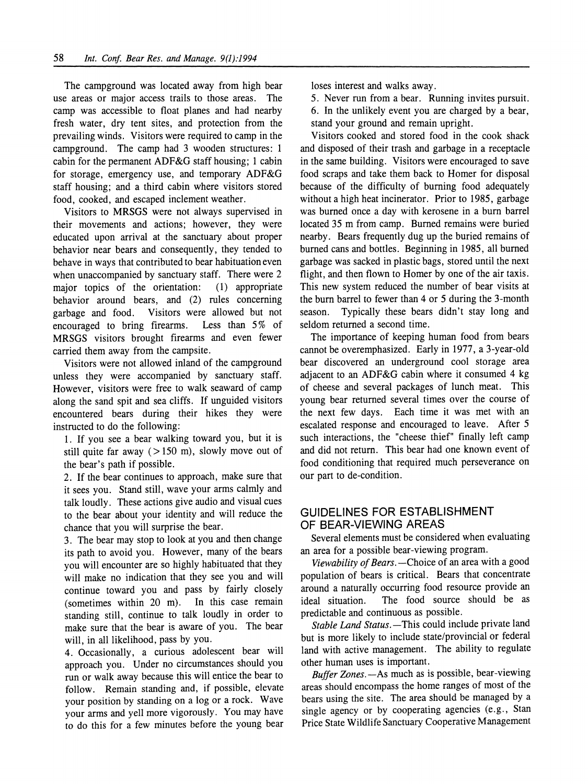**The campground was located away from high bear use areas or major access trails to those areas. The camp was accessible to float planes and had nearby fresh water, dry tent sites, and protection from the prevailing winds. Visitors were required to camp in the campground. The camp had 3 wooden structures: 1 cabin for the permanent ADF&G staff housing; 1 cabin for storage, emergency use, and temporary ADF&G staff housing; and a third cabin where visitors stored food, cooked, and escaped inclement weather.** 

**Visitors to MRSGS were not always supervised in their movements and actions; however, they were educated upon arrival at the sanctuary about proper behavior near bears and consequently, they tended to behave in ways that contributed to bear habituation even**  when unaccompanied by sanctuary staff. There were 2 major topics of the orientation: (1) appropriate major topics of the orientation: behavior around bears, and (2) rules concerning<br>garbage and food. Visitors were allowed but not **visitors were allowed but not g** fire **follower follower but not g** fire **follower follower follower follower follower follower follower follower follower follower follower follower followe** encouraged to bring firearms. **MRSGS visitors brought firearms and even fewer carried them away from the campsite.** 

**Visitors were not allowed inland of the campground unless they were accompanied by sanctuary staff. However, visitors were free to walk seaward of camp along the sand spit and sea cliffs. If unguided visitors encountered bears during their hikes they were instructed to do the following:** 

**1. If you see a bear walking toward you, but it is still quite far away (> 150 m), slowly move out of the bear's path if possible.** 

**2. If the bear continues to approach, make sure that it sees you. Stand still, wave your arms calmly and talk loudly. These actions give audio and visual cues to the bear about your identity and will reduce the chance that you will surprise the bear.** 

**3. The bear may stop to look at you and then change its path to avoid you. However, many of the bears you will encounter are so highly habituated that they will make no indication that they see you and will continue toward you and pass by fairly closely**   $(sometimes with in 20 m).$ **standing still, continue to talk loudly in order to make sure that the bear is aware of you. The bear will, in all likelihood, pass by you.** 

**4. Occasionally, a curious adolescent bear will approach you. Under no circumstances should you run or walk away because this will entice the bear to follow. Remain standing and, if possible, elevate your position by standing on a log or a rock. Wave your arms and yell more vigorously. You may have to do this for a few minutes before the young bear**  **loses interest and walks away.** 

**5. Never run from a bear. Running invites pursuit. 6. In the unlikely event you are charged by a bear, stand your ground and remain upright.** 

**Visitors cooked and stored food in the cook shack and disposed of their trash and garbage in a receptacle in the same building. Visitors were encouraged to save food scraps and take them back to Homer for disposal because of the difficulty of burning food adequately without a high heat incinerator. Prior to 1985, garbage**  was burned once a day with kerosene in a burn barrel **located 35 m from camp. Burned remains were buried nearby. Bears frequently dug up the buried remains of burned cans and bottles. Beginning in 1985, all burned garbage was sacked in plastic bags, stored until the next flight, and then flown to Homer by one of the air taxis. This new system reduced the number of bear visits at the burn barrel to fewer than 4 or 5 during the 3-month season. Typically these bears didn't stay long and seldom returned a second time.** 

**The importance of keeping human food from bears cannot be overemphasized. Early in 1977, a 3-year-old bear discovered an underground cool storage area adjacent to an ADF&G cabin where it consumed 4 kg of cheese and several packages of lunch meat. This young bear returned several times over the course of the next few days. Each time it was met with an escalated response and encouraged to leave. After 5 such interactions, the "cheese thief" finally left camp and did not return. This bear had one known event of food conditioning that required much perseverance on our part to de-condition.** 

# **GUIDELINES FOR ESTABLISHMENT OF BEAR-VIEWING AREAS**

**Several elements must be considered when evaluating an area for a possible bear-viewing program.** 

Viewability of Bears. - Choice of an area with a good **population of bears is critical. Bears that concentrate around a naturally occurring food resource provide an**  The food source should be as **predictable and continuous as possible.** 

Stable Land Status. - This could include private land **but is more likely to include state/provincial or federal land with active management. The ability to regulate other human uses is important.** 

**Buffer Zones. -As much as is possible, bear-viewing areas should encompass the home ranges of most of the bears using the site. The area should be managed by a single agency or by cooperating agencies (e.g., Stan Price State Wildlife Sanctuary Cooperative Management**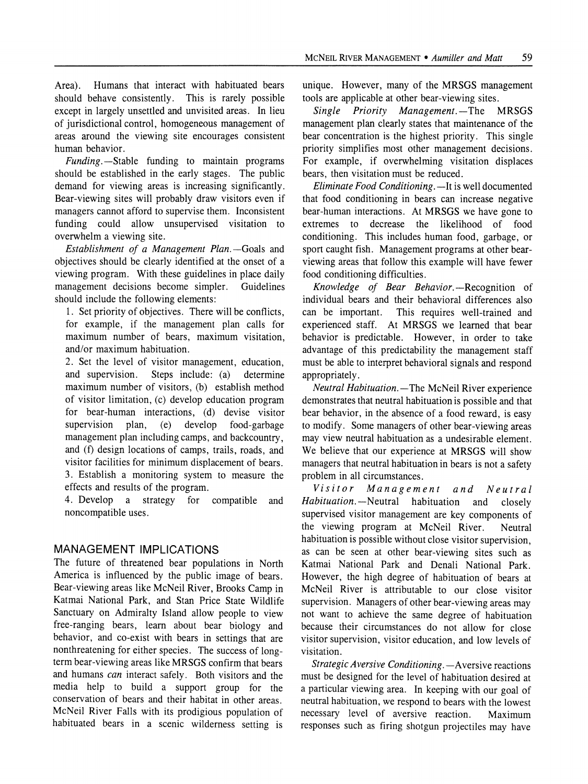**Area). Humans that interact with habituated bears should behave consistently. This is rarely possible except in largely unsettled and unvisited areas. In lieu of jurisdictional control, homogeneous management of areas around the viewing site encourages consistent human behavior.** 

**Funding.--Stable funding to maintain programs should be established in the early stages. The public demand for viewing areas is increasing significantly. Bear-viewing sites will probably draw visitors even if managers cannot afford to supervise them. Inconsistent funding could allow unsupervised visitation to overwhelm a viewing site.** 

**Establishment of a Management Plan.-Goals and objectives should be clearly identified at the onset of a viewing program. With these guidelines in place daily management decisions become simpler. Guidelines should include the following elements:** 

**1. Set priority of objectives. There will be conflicts, for example, if the management plan calls for maximum number of bears, maximum visitation, and/or maximum habituation.** 

**2. Set the level of visitor management, education, and supervision. Steps include: (a) determine maximum number of visitors, (b) establish method of visitor limitation, (c) develop education program for bear-human interactions, (d) devise visitor**  food-garbage **management plan including camps, and backcountry, and (f) design locations of camps, trails, roads, and visitor facilities for minimum displacement of bears. 3. Establish a monitoring system to measure the effects and results of the program.** 

**4. Develop a strategy for compatible and noncompatible uses.** 

# **MANAGEMENT IMPLICATIONS**

**The future of threatened bear populations in North America is influenced by the public image of bears. Bear-viewing areas like McNeil River, Brooks Camp in Katmai National Park, and Stan Price State Wildlife Sanctuary on Admiralty Island allow people to view free-ranging bears, learn about bear biology and behavior, and co-exist with bears in settings that are nonthreatening for either species. The success of longterm bear-viewing areas like MRSGS confirm that bears and humans can interact safely. Both visitors and the media help to build a support group for the conservation of bears and their habitat in other areas. McNeil River Falls with its prodigious population of habituated bears in a scenic wilderness setting is** 

**unique. However, many of the MRSGS management tools are applicable at other bear-viewing sites.** 

Single Priority Management.-The MRSGS **management plan clearly states that maintenance of the bear concentration is the highest priority. This single priority simplifies most other management decisions. For example, if overwhelming visitation displaces bears, then visitation must be reduced.** 

**Eliminate Food Conditioning.** - It is well documented **that food conditioning in bears can increase negative bear-human interactions. At MRSGS we have gone to extremes to decrease the likelihood of food conditioning. This includes human food, garbage, or sport caught fish. Management programs at other bearviewing areas that follow this example will have fewer food conditioning difficulties.** 

**Knowledge of Bear Behavior. -Recognition of individual bears and their behavioral differences also can be important. This requires well-trained and experienced staff. At MRSGS we learned that bear behavior is predictable. However, in order to take advantage of this predictability the management staff must be able to interpret behavioral signals and respond appropriately.** 

**Neutral Habituation. -The McNeil River experience demonstrates that neutral habituation is possible and that bear behavior, in the absence of a food reward, is easy to modify. Some managers of other bear-viewing areas may view neutral habituation as a undesirable element. We believe that our experience at MRSGS will show managers that neutral habituation in bears is not a safety problem in all circumstances.** 

**Visitor Management and Neutral Habituation.--Neutral habituation and closely supervised visitor management are key components of**  the viewing program at McNeil River. **habituation is possible without close visitor supervision, as can be seen at other bear-viewing sites such as Katmai National Park and Denali National Park. However, the high degree of habituation of bears at McNeil River is attributable to our close visitor supervision. Managers of other bear-viewing areas may not want to achieve the same degree of habituation because their circumstances do not allow for close visitor supervision, visitor education, and low levels of visitation.** 

Strategic Aversive Conditioning. - Aversive reactions **must be designed for the level of habituation desired at a particular viewing area. In keeping with our goal of neutral habituation, we respond to bears with the lowest necessary level of aversive reaction. Maximum responses such as firing shotgun projectiles may have**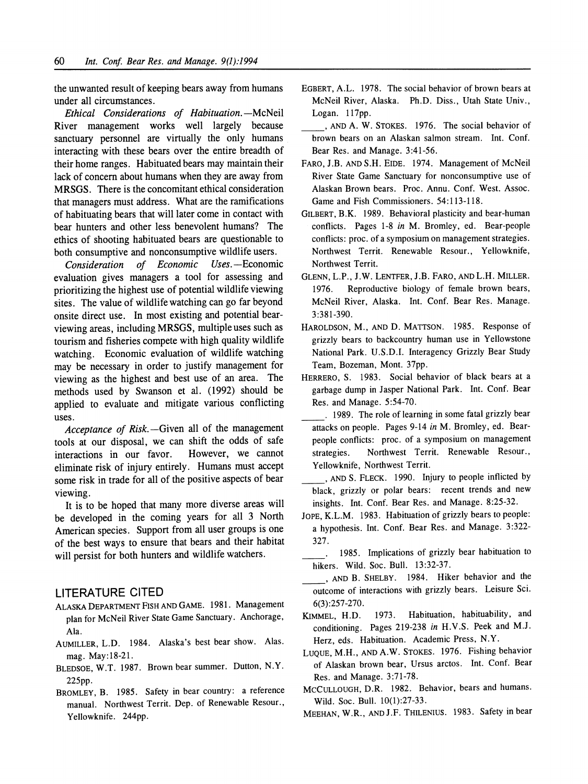**the unwanted result of keeping bears away from humans under all circumstances.** 

**Ethical Considerations of Habituation.--McNeil River management works well largely because sanctuary personnel are virtually the only humans interacting with these bears over the entire breadth of their home ranges. Habituated bears may maintain their lack of concern about humans when they are away from MRSGS. There is the concomitant ethical consideration that managers must address. What are the ramifications of habituating bears that will later come in contact with bear hunters and other less benevolent humans? The ethics of shooting habituated bears are questionable to**  both consumptive and nonconsumptive wildlife users.<br> **Consideration** of Economic Uses.—Economic

**Consideration of Economic evaluation gives managers a tool for assessing and prioritizing the highest use of potential wildlife viewing sites. The value of wildlife watching can go far beyond onsite direct use. In most existing and potential bearviewing areas, including MRSGS, multiple uses such as tourism and fisheries compete with high quality wildlife watching. Economic evaluation of wildlife watching may be necessary in order to justify management for viewing as the highest and best use of an area. The methods used by Swanson et al. (1992) should be applied to evaluate and mitigate various conflicting uses.** 

**Acceptance of Risk.-Given all of the management tools at our disposal, we can shift the odds of safe**  interactions in our favor. **eliminate risk of injury entirely. Humans must accept some risk in trade for all of the positive aspects of bear viewing.** 

**It is to be hoped that many more diverse areas will be developed in the coming years for all 3 North American species. Support from all user groups is one of the best ways to ensure that bears and their habitat will persist for both hunters and wildlife watchers.** 

### **LITERATURE CITED**

- **ALASKA DEPARTMENT FISH AND GAME. 1981. Management plan for McNeil River State Game Sanctuary. Anchorage, Ala.**
- **AUMILLER, L.D. 1984. Alaska's best bear show. Alas. mag. May:18-21.**
- **BLEDSOE, W.T. 1987. Brown bear summer. Dutton, N.Y. 225pp.**
- **BROMLEY, B. 1985. Safety in bear country: a reference manual. Northwest Territ. Dep. of Renewable Resour., Yellowknife. 244pp.**
- **EGBERT, A.L. 1978. The social behavior of brown bears at McNeil River, Alaska. Ph.D. Diss., Utah State Univ., Logan. 117pp.**
- **, AND A. W. STOKES. 1976. The social behavior of brown bears on an Alaskan salmon stream. Int. Conf. Bear Res. and Manage. 3:41-56.**
- **FARO, J.B. AND S.H. EIDE. 1974. Management of McNeil River State Game Sanctuary for nonconsumptive use of Alaskan Brown bears. Proc. Annu. Conf. West. Assoc. Game and Fish Commissioners. 54:113-118.**
- **GILBERT, B.K. 1989. Behavioral plasticity and bear-human conflicts. Pages 1-8 in M. Bromley, ed. Bear-people conflicts: proc. of a symposium on management strategies. Northwest Territ. Renewable Resour., Yellowknife, Northwest Territ.**
- **GLENN, L.P., J.W. LENTFER, J.B. FARO, AND L.H. MILLER. 1976. Reproductive biology of female brown bears, McNeil River, Alaska. Int. Conf. Bear Res. Manage. 3:381-390.**
- **HAROLDSON, M., AND D. MATTSON. 1985. Response of grizzly bears to backcountry human use in Yellowstone National Park. U.S.D.I. Interagency Grizzly Bear Study Team, Bozeman, Mont. 37pp.**
- **HERRERO, S. 1983. Social behavior of black bears at a garbage dump in Jasper National Park. Int. Conf. Bear Res. and Manage. 5:54-70.**
- **1989. The role of learning in some fatal grizzly bear attacks on people. Pages 9-14 in M. Bromley, ed. Bearpeople conflicts: proc. of a symposium on management strategies. Northwest Territ. Renewable Resour., Yellowknife, Northwest Territ.**
- **, AND S. FLECK. 1990. Injury to people inflicted by black, grizzly or polar bears: recent trends and new insights. Int. Conf. Bear Res. and Manage. 8:25-32.**
- **JOPE, K.L.M. 1983. Habituation of grizzly bears to people: a hypothesis. Int. Conf. Bear Res. and Manage. 3:322- 327.** 
	- **1985. Implications of grizzly bear habituation to hikers. Wild. Soc. Bull. 13:32-37.**
- **, AND B. SHELBY. 1984. Hiker behavior and the outcome of interactions with grizzly bears. Leisure Sci. 6(3):257-270.**
- **KIMMEL, H.D. 1973. Habituation, habituability, and conditioning. Pages 219-238 in H.V.S. Peek and M.J. Herz, eds. Habituation. Academic Press, N.Y.**
- **LUQUE, M.H., AND A.W. STOKES. 1976. Fishing behavior of Alaskan brown bear, Ursus arctos. Int. Conf. Bear Res. and Manage. 3:71-78.**
- **MCCULLOUGH, D.R. 1982. Behavior, bears and humans. Wild. Soc. Bull. 10(1):27-33.**
- **MEEHAN, W.R., ANDJ.F. THILENIUS. 1983. Safety in bear**